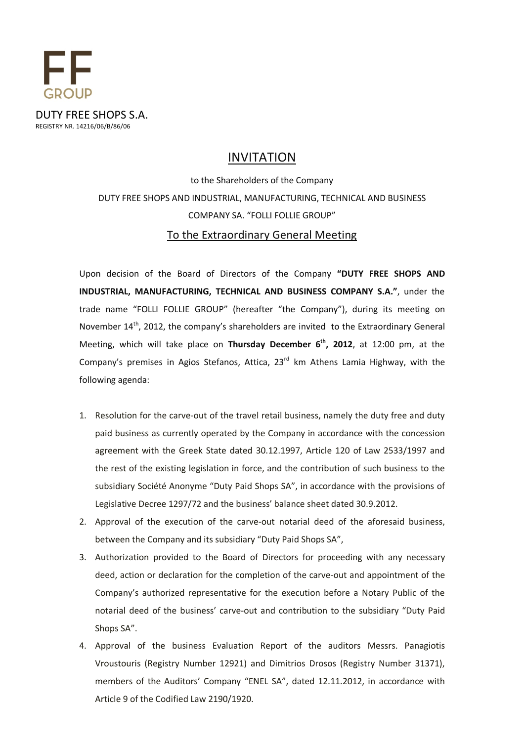

### INVITATION

# to the Shareholders of the Company DUTY FREE SHOPS AND INDUSTRIAL, MANUFACTURING, TECHNICAL AND BUSINESS COMPANY SA. "FOLLI FOLLIE GROUP" To the Extraordinary General Meeting

Upon decision of the Board of Directors of the Company **"DUTY FREE SHOPS AND INDUSTRIAL, MANUFACTURING, TECHNICAL AND BUSINESS COMPANY S.A."**, under the trade name "FOLLI FOLLIE GROUP" (hereafter "the Company"), during its meeting on November 14<sup>th</sup>, 2012, the company's shareholders are invited to the Extraordinary General Meeting, which will take place on **Thursday December 6 th , 2012**, at 12:00 pm, at the Company's premises in Agios Stefanos, Attica,  $23<sup>rd</sup>$  km Athens Lamia Highway, with the following agenda:

- 1. Resolution for the carve-out of the travel retail business, namely the duty free and duty paid business as currently operated by the Company in accordance with the concession agreement with the Greek State dated 30.12.1997, Article 120 of Law 2533/1997 and the rest of the existing legislation in force, and the contribution of such business to the subsidiary Société Anonyme "Duty Paid Shops SA", in accordance with the provisions of Legislative Decree 1297/72 and the business' balance sheet dated 30.9.2012.
- 2. Approval of the execution of the carve-out notarial deed of the aforesaid business, between the Company and its subsidiary "Duty Paid Shops SA",
- 3. Authorization provided to the Board of Directors for proceeding with any necessary deed, action or declaration for the completion of the carve-out and appointment of the Company's authorized representative for the execution before a Notary Public of the notarial deed of the business' carve-out and contribution to the subsidiary "Duty Paid Shops SA".
- 4. Approval of the business Evaluation Report of the auditors Messrs. Panagiotis Vroustouris (Registry Number 12921) and Dimitrios Drosos (Registry Number 31371), members of the Auditors' Company "ENEL SA", dated 12.11.2012, in accordance with Article 9 of the Codified Law 2190/1920.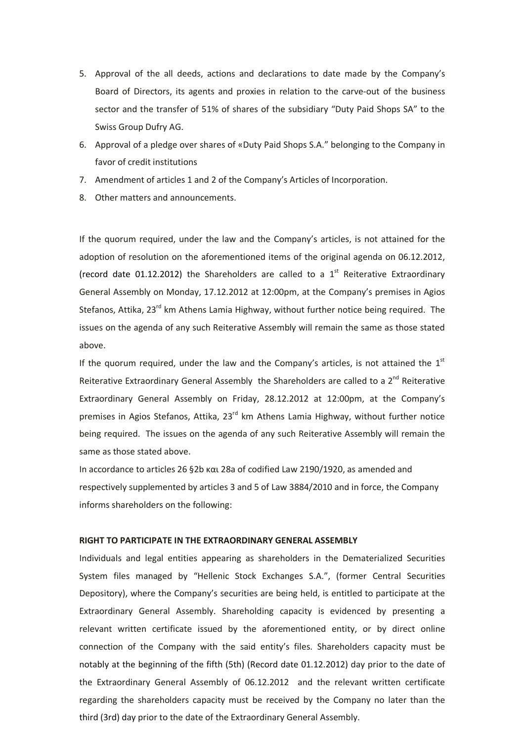- 5. Approval of the all deeds, actions and declarations to date made by the Company's Board of Directors, its agents and proxies in relation to the carve-out of the business sector and the transfer of 51% of shares of the subsidiary "Duty Paid Shops SA" to the Swiss Group Dufry AG.
- 6. Approval of a pledge over shares of «Duty Paid Shops S.A." belonging to the Company in favor of credit institutions
- 7. Amendment of articles 1 and 2 of the Company's Articles of Incorporation.
- 8. Other matters and announcements.

If the quorum required, under the law and the Company's articles, is not attained for the adoption of resolution on the aforementioned items of the original agenda on 06.12.2012, (record date 01.12.2012) the Shareholders are called to a  $1<sup>st</sup>$  Reiterative Extraordinary General Assembly on Monday, 17.12.2012 at 12:00pm, at the Company's premises in Agios Stefanos, Attika,  $23^{rd}$  km Athens Lamia Highway, without further notice being required. The issues on the agenda of any such Reiterative Assembly will remain the same as those stated above.

If the quorum required, under the law and the Company's articles, is not attained the  $1<sup>st</sup>$ Reiterative Extraordinary General Assembly the Shareholders are called to a 2<sup>nd</sup> Reiterative Extraordinary General Assembly on Friday, 28.12.2012 at 12:00pm, at the Company's premises in Agios Stefanos, Attika,  $23<sup>rd</sup>$  km Athens Lamia Highway, without further notice being required. The issues on the agenda of any such Reiterative Assembly will remain the same as those stated above.

In accordance to articles 26 §2b και 28a of codified Law 2190/1920, as amended and respectively supplemented by articles 3 and 5 of Law 3884/2010 and in force, the Company informs shareholders on the following:

#### **RIGHT TO PARTICIPATE IN THE EXTRAORDINARY GENERAL ASSEMBLY**

Individuals and legal entities appearing as shareholders in the Dematerialized Securities System files managed by "Hellenic Stock Exchanges S.A.", (former Central Securities Depository), where the Company's securities are being held, is entitled to participate at the Extraordinary General Assembly. Shareholding capacity is evidenced by presenting a relevant written certificate issued by the aforementioned entity, or by direct online connection of the Company with the said entity's files. Shareholders capacity must be notably at the beginning of the fifth (5th) (Record date 01.12.2012) day prior to the date of the Extraordinary General Assembly of 06.12.2012 and the relevant written certificate regarding the shareholders capacity must be received by the Company no later than the third (3rd) day prior to the date of the Extraordinary General Assembly.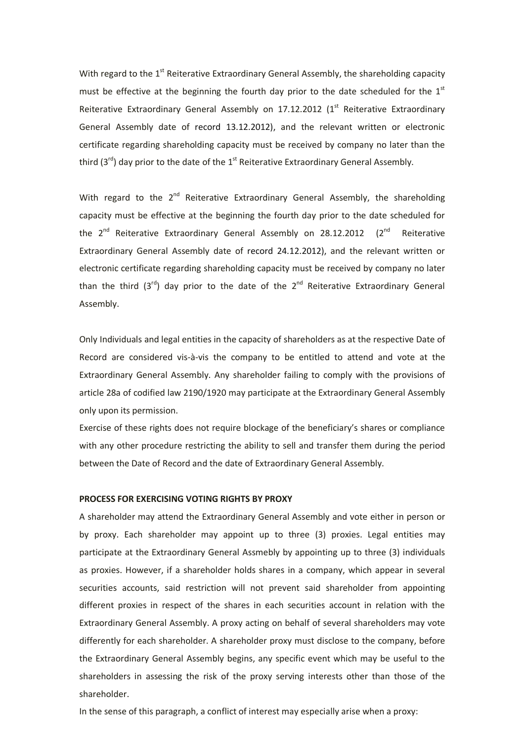With regard to the  $1<sup>st</sup>$  Reiterative Extraordinary General Assembly, the shareholding capacity must be effective at the beginning the fourth day prior to the date scheduled for the  $1<sup>st</sup>$ Reiterative Extraordinary General Assembly on 17.12.2012 ( $1<sup>st</sup>$  Reiterative Extraordinary General Assembly date of record 13.12.2012), and the relevant written or electronic certificate regarding shareholding capacity must be received by company no later than the third  $(3^{rd})$  day prior to the date of the  $1^{st}$  Reiterative Extraordinary General Assembly.

With regard to the 2<sup>nd</sup> Reiterative Extraordinary General Assembly, the shareholding capacity must be effective at the beginning the fourth day prior to the date scheduled for the 2<sup>nd</sup> Reiterative Extraordinary General Assembly on 28.12.2012 (2<sup>nd</sup> Reiterative Extraordinary General Assembly date of record 24.12.2012), and the relevant written or electronic certificate regarding shareholding capacity must be received by company no later than the third  $(3^{rd})$  day prior to the date of the  $2^{nd}$  Reiterative Extraordinary General Assembly.

Only Individuals and legal entities in the capacity of shareholders as at the respective Date of Record are considered vis-à-vis the company to be entitled to attend and vote at the Extraordinary General Assembly. Any shareholder failing to comply with the provisions of article 28a of codified law 2190/1920 may participate at the Extraordinary General Assembly only upon its permission.

Exercise of these rights does not require blockage of the beneficiary's shares or compliance with any other procedure restricting the ability to sell and transfer them during the period between the Date of Record and the date of Extraordinary General Assembly.

#### **PROCESS FOR EXERCISING VOTING RIGHTS BY PROXY**

A shareholder may attend the Extraordinary General Assembly and vote either in person or by proxy. Each shareholder may appoint up to three (3) proxies. Legal entities may participate at the Extraordinary General Assmebly by appointing up to three (3) individuals as proxies. However, if a shareholder holds shares in a company, which appear in several securities accounts, said restriction will not prevent said shareholder from appointing different proxies in respect of the shares in each securities account in relation with the Extraordinary General Assembly. A proxy acting on behalf of several shareholders may vote differently for each shareholder. A shareholder proxy must disclose to the company, before the Extraordinary General Assembly begins, any specific event which may be useful to the shareholders in assessing the risk of the proxy serving interests other than those of the shareholder.

In the sense of this paragraph, a conflict of interest may especially arise when a proxy: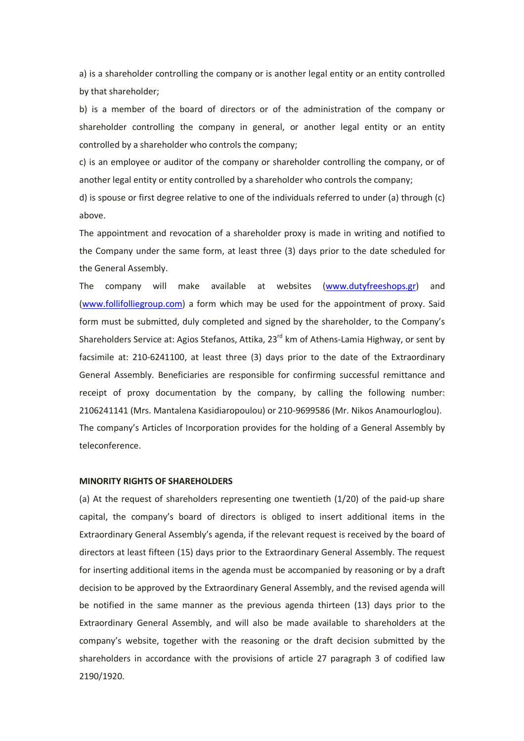a) is a shareholder controlling the company or is another legal entity or an entity controlled by that shareholder;

b) is a member of the board of directors or of the administration of the company or shareholder controlling the company in general, or another legal entity or an entity controlled by a shareholder who controls the company;

c) is an employee or auditor of the company or shareholder controlling the company, or of another legal entity or entity controlled by a shareholder who controls the company;

d) is spouse or first degree relative to one of the individuals referred to under (a) through (c) above.

The appointment and revocation of a shareholder proxy is made in writing and notified to the Company under the same form, at least three (3) days prior to the date scheduled for the General Assembly.

The company will make available at websites (www.dutyfreeshops.gr) and (www.follifolliegroup.com) a form which may be used for the appointment of proxy. Said form must be submitted, duly completed and signed by the shareholder, to the Company's Shareholders Service at: Agios Stefanos, Attika, 23<sup>rd</sup> km of Athens-Lamia Highway, or sent by facsimile at: 210-6241100, at least three (3) days prior to the date of the Extraordinary General Assembly. Beneficiaries are responsible for confirming successful remittance and receipt of proxy documentation by the company, by calling the following number: 2106241141 (Mrs. Mantalena Kasidiaropoulou) or 210-9699586 (Mr. Nikos Anamourloglou). The company's Articles of Incorporation provides for the holding of a General Assembly by teleconference.

#### **MINORITY RIGHTS OF SHAREHOLDERS**

(a) At the request of shareholders representing one twentieth (1/20) of the paid-up share capital, the company's board of directors is obliged to insert additional items in the Extraordinary General Assembly's agenda, if the relevant request is received by the board of directors at least fifteen (15) days prior to the Extraordinary General Assembly. The request for inserting additional items in the agenda must be accompanied by reasoning or by a draft decision to be approved by the Extraordinary General Assembly, and the revised agenda will be notified in the same manner as the previous agenda thirteen (13) days prior to the Extraordinary General Assembly, and will also be made available to shareholders at the company's website, together with the reasoning or the draft decision submitted by the shareholders in accordance with the provisions of article 27 paragraph 3 of codified law 2190/1920.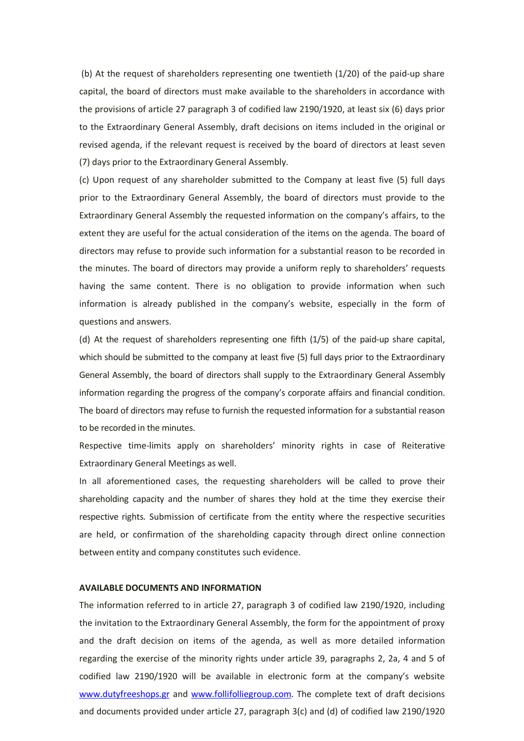(b) At the request of shareholders representing one twentieth (1/20) of the paid-up share capital, the board of directors must make available to the shareholders in accordance with the provisions of article 27 paragraph 3 of codified law 2190/1920, at least six (6) days prior to the Extraordinary General Assembly, draft decisions on items included in the original or revised agenda, if the relevant request is received by the board of directors at least seven (7) days prior to the Extraordinary General Assembly.

(c) Upon request of any shareholder submitted to the Company at least five (5) full days prior to the Extraordinary General Assembly, the board of directors must provide to the Extraordinary General Assembly the requested information on the company's affairs, to the extent they are useful for the actual consideration of the items on the agenda. The board of directors may refuse to provide such information for a substantial reason to be recorded in the minutes. The board of directors may provide a uniform reply to shareholders' requests having the same content. There is no obligation to provide information when such information is already published in the company's website, especially in the form of questions and answers.

(d) At the request of shareholders representing one fifth (1/5) of the paid-up share capital, which should be submitted to the company at least five (5) full days prior to the Extraordinary General Assembly, the board of directors shall supply to the Extraordinary General Assembly information regarding the progress of the company's corporate affairs and financial condition. The board of directors may refuse to furnish the requested information for a substantial reason to be recorded in the minutes.

Respective time-limits apply on shareholders' minority rights in case of Reiterative Extraordinary General Meetings as well.

In all aforementioned cases, the requesting shareholders will be called to prove their shareholding capacity and the number of shares they hold at the time they exercise their respective rights. Submission of certificate from the entity where the respective securities are held, or confirmation of the shareholding capacity through direct online connection between entity and company constitutes such evidence.

#### **AVAILABLE DOCUMENTS AND INFORMATION**

The information referred to in article 27, paragraph 3 of codified law 2190/1920, including the invitation to the Extraordinary General Assembly, the form for the appointment of proxy and the draft decision on items of the agenda, as well as more detailed information regarding the exercise of the minority rights under article 39, paragraphs 2, 2a, 4 and 5 of codified law 2190/1920 will be available in electronic form at the company's website www.dutyfreeshops.gr and www.follifolliegroup.com. The complete text of draft decisions and documents provided under article 27, paragraph 3(c) and (d) of codified law 2190/1920